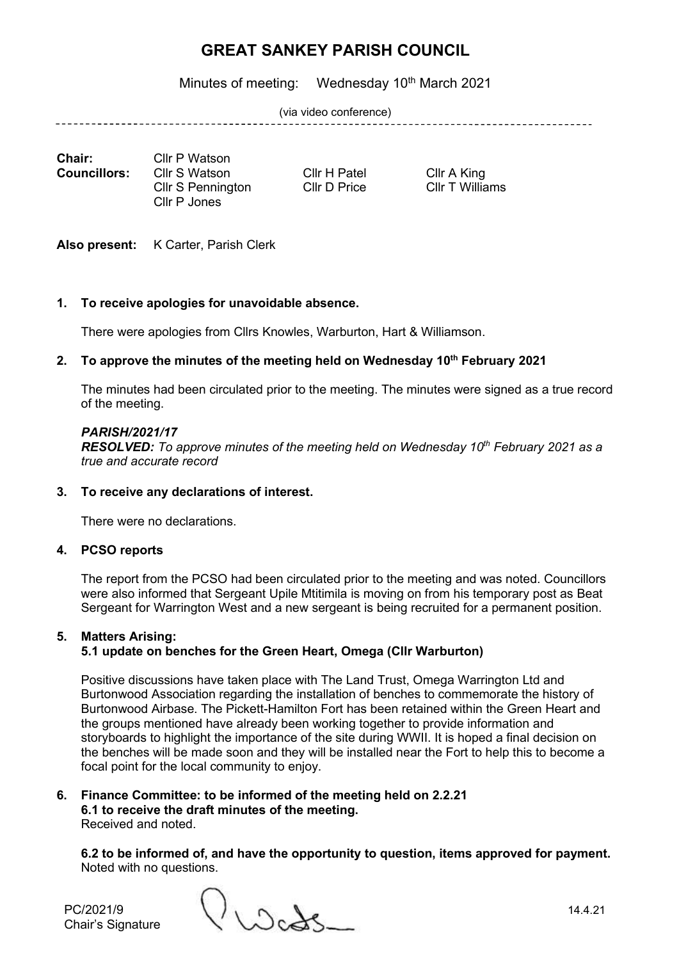Minutes of meeting: Wednesday 10<sup>th</sup> March 2021

(via video conference)

\_\_\_\_\_\_\_\_\_\_\_\_\_\_\_\_\_\_\_\_\_\_\_\_\_\_\_\_\_

**Chair:** Cllr P Watson<br>**Councillors:** Cllr S Watson Cllr S Pennington Cllr P Jones

**Cllr S Watson** Cllr H Patel Cllr A King<br>
Cllr S Pennington Cllr D Price Cllr T Williams

Also present: K Carter, Parish Clerk

## **1. To receive apologies for unavoidable absence.**

There were apologies from Cllrs Knowles, Warburton, Hart & Williamson.

## **2. To approve the minutes of the meeting held on Wednesday 10 th February 2021**

The minutes had been circulated prior to the meeting. The minutes were signed as a true record of the meeting.

#### *PARISH/2021/17*

*RESOLVED: To approve minutes of the meeting held on Wednesday 10th February 2021 as a true and accurate record*

## **3. To receive any declarations of interest.**

There were no declarations.

## **4. PCSO reports**

The report from the PCSO had been circulated prior to the meeting and was noted. Councillors were also informed that Sergeant Upile Mtitimila is moving on from his temporary post as Beat Sergeant for Warrington West and a new sergeant is being recruited for a permanent position.

#### **5. Matters Arising: 5.1 update on benches for the Green Heart, Omega (Cllr Warburton)**

Positive discussions have taken place with The Land Trust, Omega Warrington Ltd and Burtonwood Association regarding the installation of benches to commemorate the history of Burtonwood Airbase. The Pickett-Hamilton Fort has been retained within the Green Heart and the groups mentioned have already been working together to provide information and storyboards to highlight the importance of the site during WWII. It is hoped a final decision on the benches will be made soon and they will be installed near the Fort to help this to become a focal point for the local community to enjoy.

#### **6. Finance Committee: to be informed of the meeting held on 2.2.21 6.1 to receive the draft minutes of the meeting.** Received and noted.

**6.2 to be informed of, and have the opportunity to question, items approved for payment.** Noted with no questions.

Chair's Signature

PC/2021/9  $\left\{\left\{\right\}_{\left\{\right\}_{\Omega}\right\}_{\Omega}\right\}_{\infty}$  14.4.21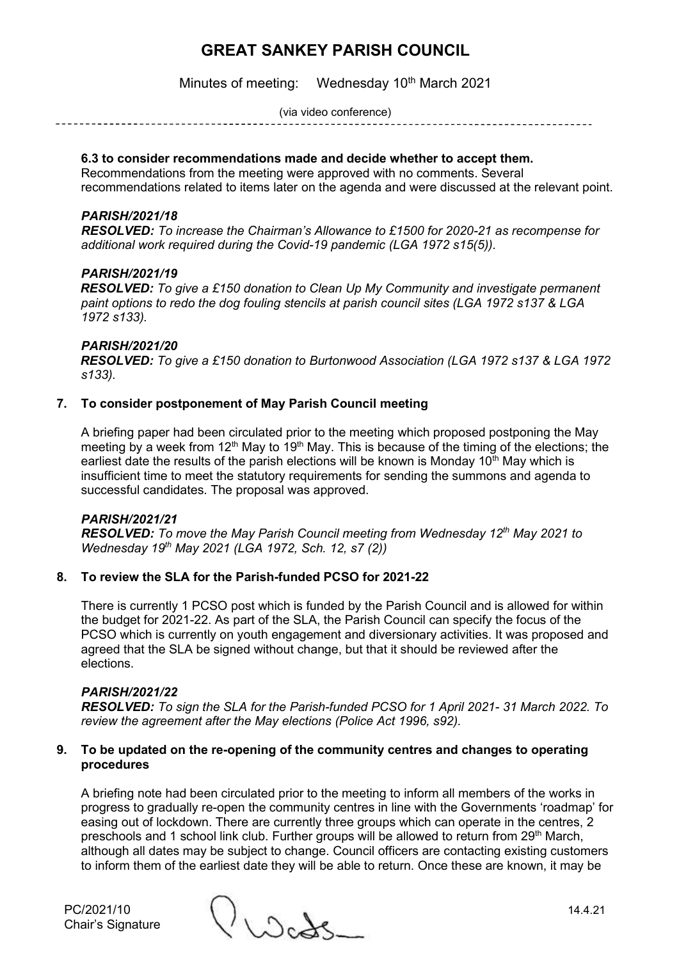Minutes of meeting: Wednesday 10<sup>th</sup> March 2021

(via video conference)

## **6.3 to consider recommendations made and decide whether to accept them.**

Recommendations from the meeting were approved with no comments. Several recommendations related to items later on the agenda and were discussed at the relevant point.

#### *PARISH/2021/18*

*RESOLVED: To increase the Chairman's Allowance to £1500 for 2020-21 as recompense for additional work required during the Covid-19 pandemic (LGA 1972 s15(5)).*

#### *PARISH/2021/19*

*RESOLVED: To give a £150 donation to Clean Up My Community and investigate permanent paint options to redo the dog fouling stencils at parish council sites (LGA 1972 s137 & LGA 1972 s133).*

#### *PARISH/2021/20*

*RESOLVED: To give a £150 donation to Burtonwood Association (LGA 1972 s137 & LGA 1972 s133).*

## **7. To consider postponement of May Parish Council meeting**

A briefing paper had been circulated prior to the meeting which proposed postponing the May meeting by a week from 12<sup>th</sup> May to 19<sup>th</sup> May. This is because of the timing of the elections; the earliest date the results of the parish elections will be known is Monday  $10<sup>th</sup>$  May which is insufficient time to meet the statutory requirements for sending the summons and agenda to successful candidates. The proposal was approved.

#### *PARISH/2021/21*

*RESOLVED: To move the May Parish Council meeting from Wednesday 12th May 2021 to Wednesday 19th May 2021 (LGA 1972, Sch. 12, s7 (2))*

## **8. To review the SLA for the Parish-funded PCSO for 2021-22**

There is currently 1 PCSO post which is funded by the Parish Council and is allowed for within the budget for 2021-22. As part of the SLA, the Parish Council can specify the focus of the PCSO which is currently on youth engagement and diversionary activities. It was proposed and agreed that the SLA be signed without change, but that it should be reviewed after the elections.

#### *PARISH/2021/22*

*RESOLVED: To sign the SLA for the Parish-funded PCSO for 1 April 2021- 31 March 2022. To review the agreement after the May elections (Police Act 1996, s92).*

#### **9. To be updated on the re-opening of the community centres and changes to operating procedures**

A briefing note had been circulated prior to the meeting to inform all members of the works in progress to gradually re-open the community centres in line with the Governments 'roadmap' for easing out of lockdown. There are currently three groups which can operate in the centres, 2 preschools and 1 school link club. Further groups will be allowed to return from 29<sup>th</sup> March, although all dates may be subject to change. Council officers are contacting existing customers to inform them of the earliest date they will be able to return. Once these are known, it may be

 $PC/2021/10$ <br>Chair's Signature ()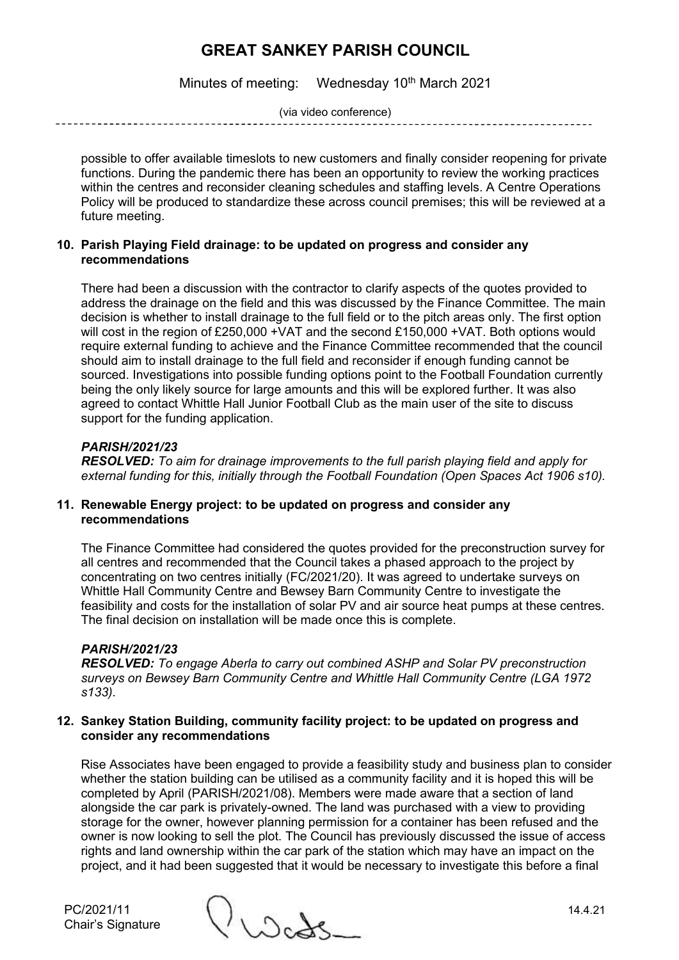Minutes of meeting: Wednesday 10<sup>th</sup> March 2021

(via video conference)

possible to offer available timeslots to new customers and finally consider reopening for private functions. During the pandemic there has been an opportunity to review the working practices within the centres and reconsider cleaning schedules and staffing levels. A Centre Operations Policy will be produced to standardize these across council premises; this will be reviewed at a future meeting.

## **10. Parish Playing Field drainage: to be updated on progress and consider any recommendations**

There had been a discussion with the contractor to clarify aspects of the quotes provided to address the drainage on the field and this was discussed by the Finance Committee. The main decision is whether to install drainage to the full field or to the pitch areas only. The first option will cost in the region of £250,000 +VAT and the second £150,000 +VAT. Both options would require external funding to achieve and the Finance Committee recommended that the council should aim to install drainage to the full field and reconsider if enough funding cannot be sourced. Investigations into possible funding options point to the Football Foundation currently being the only likely source for large amounts and this will be explored further. It was also agreed to contact Whittle Hall Junior Football Club as the main user of the site to discuss support for the funding application.

## *PARISH/2021/23*

*RESOLVED: To aim for drainage improvements to the full parish playing field and apply for external funding for this, initially through the Football Foundation (Open Spaces Act 1906 s10).*

## **11. Renewable Energy project: to be updated on progress and consider any recommendations**

The Finance Committee had considered the quotes provided for the preconstruction survey for all centres and recommended that the Council takes a phased approach to the project by concentrating on two centres initially (FC/2021/20). It was agreed to undertake surveys on Whittle Hall Community Centre and Bewsey Barn Community Centre to investigate the feasibility and costs for the installation of solar PV and air source heat pumps at these centres. The final decision on installation will be made once this is complete.

## *PARISH/2021/23*

*RESOLVED: To engage Aberla to carry out combined ASHP and Solar PV preconstruction surveys on Bewsey Barn Community Centre and Whittle Hall Community Centre (LGA 1972 s133).*

#### **12. Sankey Station Building, community facility project: to be updated on progress and consider any recommendations**

Rise Associates have been engaged to provide a feasibility study and business plan to consider whether the station building can be utilised as a community facility and it is hoped this will be completed by April (PARISH/2021/08). Members were made aware that a section of land alongside the car park is privately-owned. The land was purchased with a view to providing storage for the owner, however planning permission for a container has been refused and the owner is now looking to sell the plot. The Council has previously discussed the issue of access rights and land ownership within the car park of the station which may have an impact on the project, and it had been suggested that it would be necessary to investigate this before a final

Chair's Signature

PC/2021/11 14.4.21